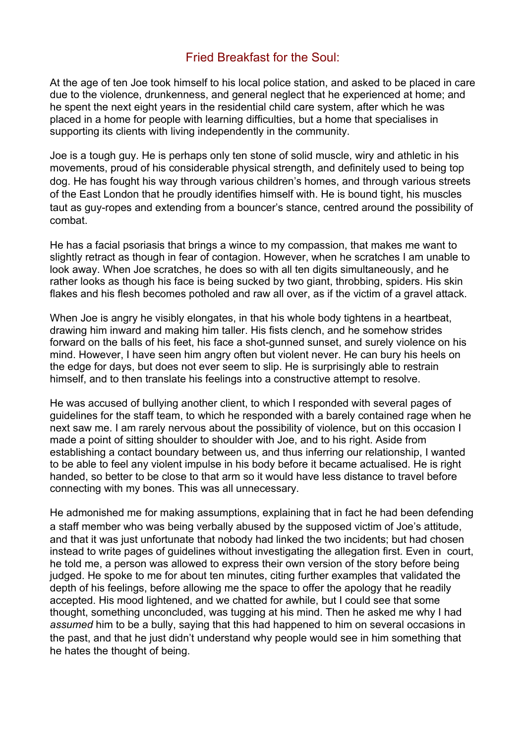## Fried Breakfast for the Soul:

At the age of ten Joe took himself to his local police station, and asked to be placed in care due to the violence, drunkenness, and general neglect that he experienced at home; and he spent the next eight years in the residential child care system, after which he was placed in a home for people with learning difficulties, but a home that specialises in supporting its clients with living independently in the community.

Joe is a tough guy. He is perhaps only ten stone of solid muscle, wiry and athletic in his movements, proud of his considerable physical strength, and definitely used to being top dog. He has fought his way through various children's homes, and through various streets of the East London that he proudly identifies himself with. He is bound tight, his muscles taut as guy-ropes and extending from a bouncer's stance, centred around the possibility of combat.

He has a facial psoriasis that brings a wince to my compassion, that makes me want to slightly retract as though in fear of contagion. However, when he scratches I am unable to look away. When Joe scratches, he does so with all ten digits simultaneously, and he rather looks as though his face is being sucked by two giant, throbbing, spiders. His skin flakes and his flesh becomes potholed and raw all over, as if the victim of a gravel attack.

When Joe is angry he visibly elongates, in that his whole body tightens in a heartbeat. drawing him inward and making him taller. His fists clench, and he somehow strides forward on the balls of his feet, his face a shot-gunned sunset, and surely violence on his mind. However, I have seen him angry often but violent never. He can bury his heels on the edge for days, but does not ever seem to slip. He is surprisingly able to restrain himself, and to then translate his feelings into a constructive attempt to resolve.

He was accused of bullying another client, to which I responded with several pages of guidelines for the staff team, to which he responded with a barely contained rage when he next saw me. I am rarely nervous about the possibility of violence, but on this occasion I made a point of sitting shoulder to shoulder with Joe, and to his right. Aside from establishing a contact boundary between us, and thus inferring our relationship, I wanted to be able to feel any violent impulse in his body before it became actualised. He is right handed, so better to be close to that arm so it would have less distance to travel before connecting with my bones. This was all unnecessary.

He admonished me for making assumptions, explaining that in fact he had been defending a staff member who was being verbally abused by the supposed victim of Joe's attitude, and that it was just unfortunate that nobody had linked the two incidents; but had chosen instead to write pages of guidelines without investigating the allegation first. Even in court, he told me, a person was allowed to express their own version of the story before being judged. He spoke to me for about ten minutes, citing further examples that validated the depth of his feelings, before allowing me the space to offer the apology that he readily accepted. His mood lightened, and we chatted for awhile, but I could see that some thought, something unconcluded, was tugging at his mind. Then he asked me why I had *assumed* him to be a bully, saying that this had happened to him on several occasions in the past, and that he just didn't understand why people would see in him something that he hates the thought of being.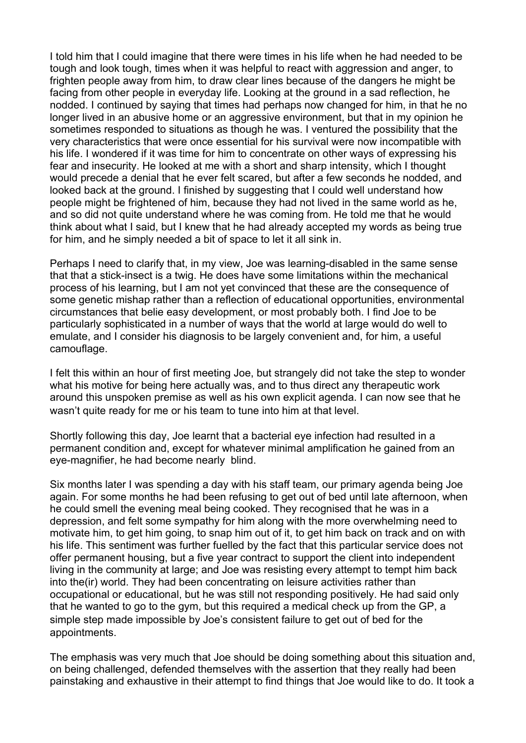I told him that I could imagine that there were times in his life when he had needed to be tough and look tough, times when it was helpful to react with aggression and anger, to frighten people away from him, to draw clear lines because of the dangers he might be facing from other people in everyday life. Looking at the ground in a sad reflection, he nodded. I continued by saying that times had perhaps now changed for him, in that he no longer lived in an abusive home or an aggressive environment, but that in my opinion he sometimes responded to situations as though he was. I ventured the possibility that the very characteristics that were once essential for his survival were now incompatible with his life. I wondered if it was time for him to concentrate on other ways of expressing his fear and insecurity. He looked at me with a short and sharp intensity, which I thought would precede a denial that he ever felt scared, but after a few seconds he nodded, and looked back at the ground. I finished by suggesting that I could well understand how people might be frightened of him, because they had not lived in the same world as he, and so did not quite understand where he was coming from. He told me that he would think about what I said, but I knew that he had already accepted my words as being true for him, and he simply needed a bit of space to let it all sink in.

Perhaps I need to clarify that, in my view, Joe was learning-disabled in the same sense that that a stick-insect is a twig. He does have some limitations within the mechanical process of his learning, but I am not yet convinced that these are the consequence of some genetic mishap rather than a reflection of educational opportunities, environmental circumstances that belie easy development, or most probably both. I find Joe to be particularly sophisticated in a number of ways that the world at large would do well to emulate, and I consider his diagnosis to be largely convenient and, for him, a useful camouflage.

I felt this within an hour of first meeting Joe, but strangely did not take the step to wonder what his motive for being here actually was, and to thus direct any therapeutic work around this unspoken premise as well as his own explicit agenda. I can now see that he wasn't quite ready for me or his team to tune into him at that level.

Shortly following this day, Joe learnt that a bacterial eye infection had resulted in a permanent condition and, except for whatever minimal amplification he gained from an eye-magnifier, he had become nearly blind.

Six months later I was spending a day with his staff team, our primary agenda being Joe again. For some months he had been refusing to get out of bed until late afternoon, when he could smell the evening meal being cooked. They recognised that he was in a depression, and felt some sympathy for him along with the more overwhelming need to motivate him, to get him going, to snap him out of it, to get him back on track and on with his life. This sentiment was further fuelled by the fact that this particular service does not offer permanent housing, but a five year contract to support the client into independent living in the community at large; and Joe was resisting every attempt to tempt him back into the(ir) world. They had been concentrating on leisure activities rather than occupational or educational, but he was still not responding positively. He had said only that he wanted to go to the gym, but this required a medical check up from the GP, a simple step made impossible by Joe's consistent failure to get out of bed for the appointments.

The emphasis was very much that Joe should be doing something about this situation and, on being challenged, defended themselves with the assertion that they really had been painstaking and exhaustive in their attempt to find things that Joe would like to do. It took a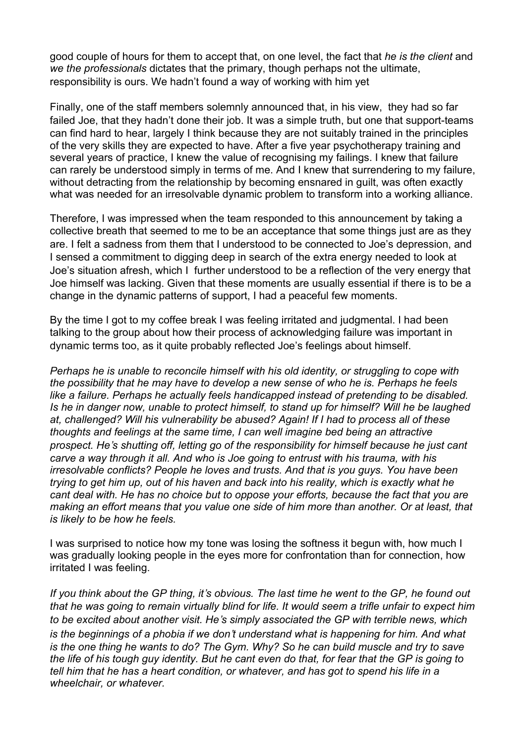good couple of hours for them to accept that, on one level, the fact that *he is the client* and *we the professionals* dictates that the primary, though perhaps not the ultimate, responsibility is ours. We hadn't found a way of working with him yet

Finally, one of the staff members solemnly announced that, in his view, they had so far failed Joe, that they hadn't done their job. It was a simple truth, but one that support-teams can find hard to hear, largely I think because they are not suitably trained in the principles of the very skills they are expected to have. After a five year psychotherapy training and several years of practice, I knew the value of recognising my failings. I knew that failure can rarely be understood simply in terms of me. And I knew that surrendering to my failure, without detracting from the relationship by becoming ensnared in quilt, was often exactly what was needed for an irresolvable dynamic problem to transform into a working alliance.

Therefore, I was impressed when the team responded to this announcement by taking a collective breath that seemed to me to be an acceptance that some things just are as they are. I felt a sadness from them that I understood to be connected to Joe's depression, and I sensed a commitment to digging deep in search of the extra energy needed to look at Joe's situation afresh, which I further understood to be a reflection of the very energy that Joe himself was lacking. Given that these moments are usually essential if there is to be a change in the dynamic patterns of support, I had a peaceful few moments.

By the time I got to my coffee break I was feeling irritated and judgmental. I had been talking to the group about how their process of acknowledging failure was important in dynamic terms too, as it quite probably reflected Joe's feelings about himself.

*Perhaps he is unable to reconcile himself with his old identity, or struggling to cope with the possibility that he may have to develop a new sense of who he is. Perhaps he feels like a failure. Perhaps he actually feels handicapped instead of pretending to be disabled. Is he in danger now, unable to protect himself, to stand up for himself? Will he be laughed at, challenged? Will his vulnerability be abused? Again! If I had to process all of these thoughts and feelings at the same time, I can well imagine bed being an attractive prospect. He*'*s shutting off, letting go of the responsibility for himself because he just cant carve a way through it all. And who is Joe going to entrust with his trauma, with his irresolvable conflicts? People he loves and trusts. And that is you guys. You have been trying to get him up, out of his haven and back into his reality, which is exactly what he cant deal with. He has no choice but to oppose your efforts, because the fact that you are making an effort means that you value one side of him more than another. Or at least, that is likely to be how he feels.*

I was surprised to notice how my tone was losing the softness it begun with, how much I was gradually looking people in the eyes more for confrontation than for connection, how irritated I was feeling.

If you think about the GP thing, it's obvious. The last time he went to the GP, he found out that he was going to remain virtually blind for life. It would seem a trifle unfair to expect him *to be excited about another visit. He*'*s simply associated the GP with terrible news, which is the beginnings of a phobia if we don*'*t understand what is happening for him. And what* is the one thing he wants to do? The Gym. Why? So he can build muscle and try to save the life of his tough guy identity. But he cant even do that, for fear that the GP is going to *tell him that he has a heart condition, or whatever, and has got to spend his life in a wheelchair, or whatever.*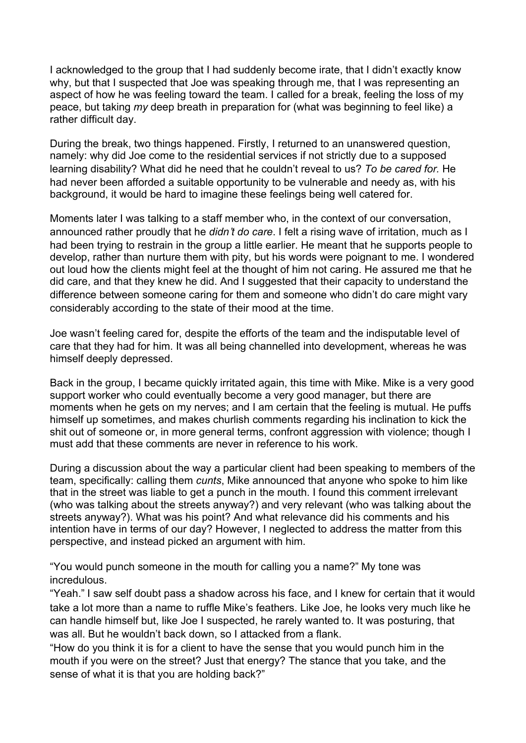I acknowledged to the group that I had suddenly become irate, that I didn't exactly know why, but that I suspected that Joe was speaking through me, that I was representing an aspect of how he was feeling toward the team. I called for a break, feeling the loss of my peace, but taking *my* deep breath in preparation for (what was beginning to feel like) a rather difficult day.

During the break, two things happened. Firstly, I returned to an unanswered question, namely: why did Joe come to the residential services if not strictly due to a supposed learning disability? What did he need that he couldn't reveal to us? *To be cared for.* He had never been afforded a suitable opportunity to be vulnerable and needy as, with his background, it would be hard to imagine these feelings being well catered for.

Moments later I was talking to a staff member who, in the context of our conversation, announced rather proudly that he *didn*'*t do care*. I felt a rising wave of irritation, much as I had been trying to restrain in the group a little earlier. He meant that he supports people to develop, rather than nurture them with pity, but his words were poignant to me. I wondered out loud how the clients might feel at the thought of him not caring. He assured me that he did care, and that they knew he did. And I suggested that their capacity to understand the difference between someone caring for them and someone who didn't do care might vary considerably according to the state of their mood at the time.

Joe wasn't feeling cared for, despite the efforts of the team and the indisputable level of care that they had for him. It was all being channelled into development, whereas he was himself deeply depressed.

Back in the group, I became quickly irritated again, this time with Mike. Mike is a very good support worker who could eventually become a very good manager, but there are moments when he gets on my nerves; and I am certain that the feeling is mutual. He puffs himself up sometimes, and makes churlish comments regarding his inclination to kick the shit out of someone or, in more general terms, confront aggression with violence; though I must add that these comments are never in reference to his work.

During a discussion about the way a particular client had been speaking to members of the team, specifically: calling them *cunts*, Mike announced that anyone who spoke to him like that in the street was liable to get a punch in the mouth. I found this comment irrelevant (who was talking about the streets anyway?) and very relevant (who was talking about the streets anyway?). What was his point? And what relevance did his comments and his intention have in terms of our day? However, I neglected to address the matter from this perspective, and instead picked an argument with him.

"You would punch someone in the mouth for calling you a name?" My tone was incredulous.

"Yeah." I saw self doubt pass a shadow across his face, and I knew for certain that it would take a lot more than a name to ruffle Mike's feathers. Like Joe, he looks very much like he can handle himself but, like Joe I suspected, he rarely wanted to. It was posturing, that was all. But he wouldn't back down, so I attacked from a flank.

"How do you think it is for a client to have the sense that you would punch him in the mouth if you were on the street? Just that energy? The stance that you take, and the sense of what it is that you are holding back?"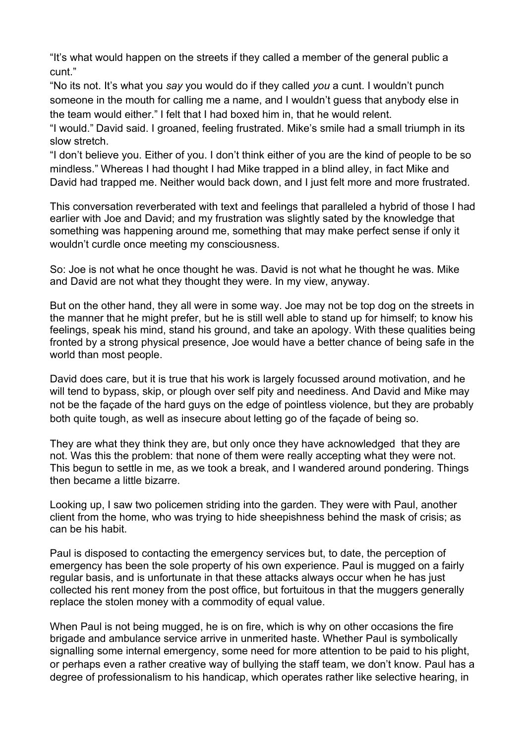"It's what would happen on the streets if they called a member of the general public a cunt."

"No its not. It's what you *say* you would do if they called *you* a cunt. I wouldn't punch someone in the mouth for calling me a name, and I wouldn't guess that anybody else in the team would either." I felt that I had boxed him in, that he would relent.

"I would." David said. I groaned, feeling frustrated. Mike's smile had a small triumph in its slow stretch.

"I don't believe you. Either of you. I don't think either of you are the kind of people to be so mindless." Whereas I had thought I had Mike trapped in a blind alley, in fact Mike and David had trapped me. Neither would back down, and I just felt more and more frustrated.

This conversation reverberated with text and feelings that paralleled a hybrid of those I had earlier with Joe and David; and my frustration was slightly sated by the knowledge that something was happening around me, something that may make perfect sense if only it wouldn't curdle once meeting my consciousness.

So: Joe is not what he once thought he was. David is not what he thought he was. Mike and David are not what they thought they were. In my view, anyway.

But on the other hand, they all were in some way. Joe may not be top dog on the streets in the manner that he might prefer, but he is still well able to stand up for himself; to know his feelings, speak his mind, stand his ground, and take an apology. With these qualities being fronted by a strong physical presence, Joe would have a better chance of being safe in the world than most people.

David does care, but it is true that his work is largely focussed around motivation, and he will tend to bypass, skip, or plough over self pity and neediness. And David and Mike may not be the façade of the hard guys on the edge of pointless violence, but they are probably both quite tough, as well as insecure about letting go of the façade of being so.

They are what they think they are, but only once they have acknowledged that they are not. Was this the problem: that none of them were really accepting what they were not. This begun to settle in me, as we took a break, and I wandered around pondering. Things then became a little bizarre.

Looking up, I saw two policemen striding into the garden. They were with Paul, another client from the home, who was trying to hide sheepishness behind the mask of crisis; as can be his habit.

Paul is disposed to contacting the emergency services but, to date, the perception of emergency has been the sole property of his own experience. Paul is mugged on a fairly regular basis, and is unfortunate in that these attacks always occur when he has just collected his rent money from the post office, but fortuitous in that the muggers generally replace the stolen money with a commodity of equal value.

When Paul is not being mugged, he is on fire, which is why on other occasions the fire brigade and ambulance service arrive in unmerited haste. Whether Paul is symbolically signalling some internal emergency, some need for more attention to be paid to his plight, or perhaps even a rather creative way of bullying the staff team, we don't know. Paul has a degree of professionalism to his handicap, which operates rather like selective hearing, in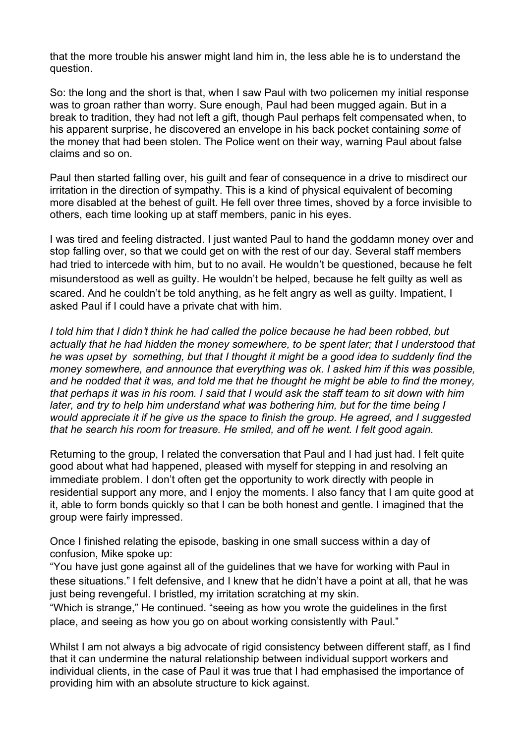that the more trouble his answer might land him in, the less able he is to understand the question.

So: the long and the short is that, when I saw Paul with two policemen my initial response was to groan rather than worry. Sure enough, Paul had been mugged again. But in a break to tradition, they had not left a gift, though Paul perhaps felt compensated when, to his apparent surprise, he discovered an envelope in his back pocket containing *some* of the money that had been stolen. The Police went on their way, warning Paul about false claims and so on.

Paul then started falling over, his guilt and fear of consequence in a drive to misdirect our irritation in the direction of sympathy. This is a kind of physical equivalent of becoming more disabled at the behest of guilt. He fell over three times, shoved by a force invisible to others, each time looking up at staff members, panic in his eyes.

I was tired and feeling distracted. I just wanted Paul to hand the goddamn money over and stop falling over, so that we could get on with the rest of our day. Several staff members had tried to intercede with him, but to no avail. He wouldn't be questioned, because he felt misunderstood as well as guilty. He wouldn't be helped, because he felt guilty as well as scared. And he couldn't be told anything, as he felt angry as well as guilty. Impatient, I asked Paul if I could have a private chat with him.

*I told him that I didn*'*t think he had called the police because he had been robbed, but actually that he had hidden the money somewhere, to be spent later; that I understood that he was upset by something, but that I thought it might be a good idea to suddenly find the money somewhere, and announce that everything was ok. I asked him if this was possible,* and he nodded that it was, and told me that he thought he might be able to find the money, that perhaps it was in his room. I said that I would ask the staff team to sit down with him *later, and try to help him understand what was bothering him, but for the time being I would appreciate it if he give us the space to finish the group. He agreed, and I suggested that he search his room for treasure. He smiled, and off he went. I felt good again.*

Returning to the group, I related the conversation that Paul and I had just had. I felt quite good about what had happened, pleased with myself for stepping in and resolving an immediate problem. I don't often get the opportunity to work directly with people in residential support any more, and I enjoy the moments. I also fancy that I am quite good at it, able to form bonds quickly so that I can be both honest and gentle. I imagined that the group were fairly impressed.

Once I finished relating the episode, basking in one small success within a day of confusion, Mike spoke up:

"You have just gone against all of the guidelines that we have for working with Paul in these situations." I felt defensive, and I knew that he didn't have a point at all, that he was just being revengeful. I bristled, my irritation scratching at my skin.

"Which is strange," He continued. "seeing as how you wrote the guidelines in the first place, and seeing as how you go on about working consistently with Paul."

Whilst I am not always a big advocate of rigid consistency between different staff, as I find that it can undermine the natural relationship between individual support workers and individual clients, in the case of Paul it was true that I had emphasised the importance of providing him with an absolute structure to kick against.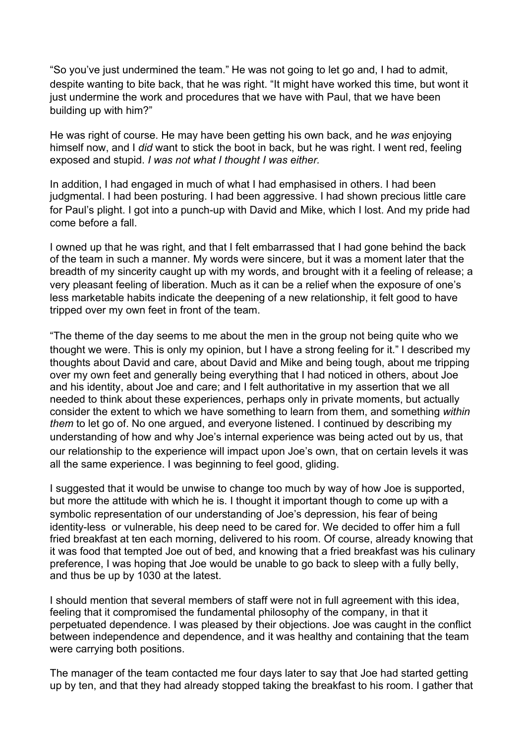"So you've just undermined the team." He was not going to let go and, I had to admit, despite wanting to bite back, that he was right. "It might have worked this time, but wont it just undermine the work and procedures that we have with Paul, that we have been building up with him?"

He was right of course. He may have been getting his own back, and he *was* enjoying himself now, and I *did* want to stick the boot in back, but he was right. I went red, feeling exposed and stupid. *I was not what I thought I was either.*

In addition, I had engaged in much of what I had emphasised in others. I had been judgmental. I had been posturing. I had been aggressive. I had shown precious little care for Paul's plight. I got into a punch-up with David and Mike, which I lost. And my pride had come before a fall.

I owned up that he was right, and that I felt embarrassed that I had gone behind the back of the team in such a manner. My words were sincere, but it was a moment later that the breadth of my sincerity caught up with my words, and brought with it a feeling of release; a very pleasant feeling of liberation. Much as it can be a relief when the exposure of one's less marketable habits indicate the deepening of a new relationship, it felt good to have tripped over my own feet in front of the team.

"The theme of the day seems to me about the men in the group not being quite who we thought we were. This is only my opinion, but I have a strong feeling for it." I described my thoughts about David and care, about David and Mike and being tough, about me tripping over my own feet and generally being everything that I had noticed in others, about Joe and his identity, about Joe and care; and I felt authoritative in my assertion that we all needed to think about these experiences, perhaps only in private moments, but actually consider the extent to which we have something to learn from them, and something *within them* to let go of. No one argued, and everyone listened. I continued by describing my understanding of how and why Joe's internal experience was being acted out by us, that our relationship to the experience will impact upon Joe's own, that on certain levels it was all the same experience. I was beginning to feel good, gliding.

I suggested that it would be unwise to change too much by way of how Joe is supported, but more the attitude with which he is. I thought it important though to come up with a symbolic representation of our understanding of Joe's depression, his fear of being identity-less or vulnerable, his deep need to be cared for. We decided to offer him a full fried breakfast at ten each morning, delivered to his room. Of course, already knowing that it was food that tempted Joe out of bed, and knowing that a fried breakfast was his culinary preference, I was hoping that Joe would be unable to go back to sleep with a fully belly, and thus be up by 1030 at the latest.

I should mention that several members of staff were not in full agreement with this idea, feeling that it compromised the fundamental philosophy of the company, in that it perpetuated dependence. I was pleased by their objections. Joe was caught in the conflict between independence and dependence, and it was healthy and containing that the team were carrying both positions.

The manager of the team contacted me four days later to say that Joe had started getting up by ten, and that they had already stopped taking the breakfast to his room. I gather that